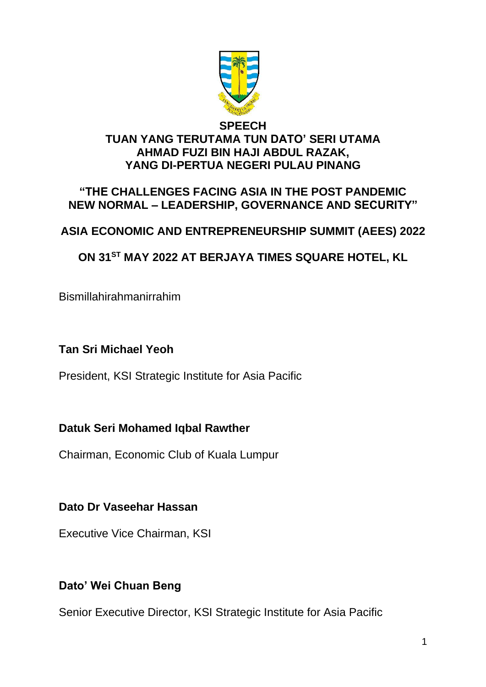

#### **SPEECH TUAN YANG TERUTAMA TUN DATO' SERI UTAMA AHMAD FUZI BIN HAJI ABDUL RAZAK, YANG DI-PERTUA NEGERI PULAU PINANG**

#### **"THE CHALLENGES FACING ASIA IN THE POST PANDEMIC NEW NORMAL – LEADERSHIP, GOVERNANCE AND SECURITY"**

## **ASIA ECONOMIC AND ENTREPRENEURSHIP SUMMIT (AEES) 2022**

## **ON 31ST MAY 2022 AT BERJAYA TIMES SQUARE HOTEL, KL**

Bismillahirahmanirrahim

## **Tan Sri Michael Yeoh**

President, KSI Strategic Institute for Asia Pacific

## **Datuk Seri Mohamed Iqbal Rawther**

Chairman, Economic Club of Kuala Lumpur

## **Dato Dr Vaseehar Hassan**

Executive Vice Chairman, KSI

## **Dato' Wei Chuan Beng**

Senior Executive Director, KSI Strategic Institute for Asia Pacific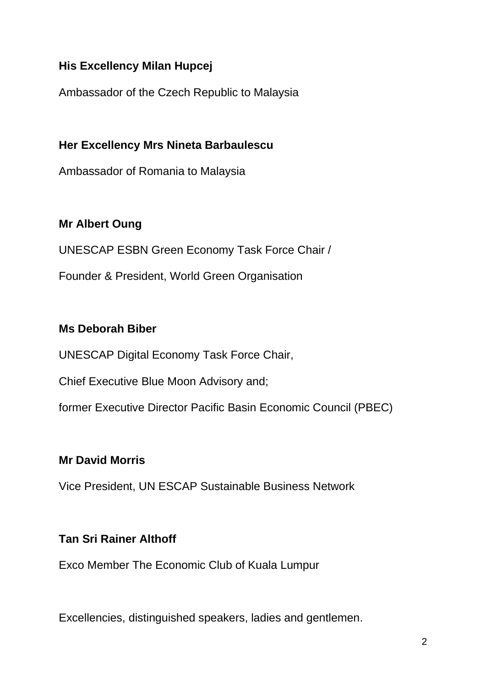## **His Excellency Milan Hupcej**

Ambassador of the Czech Republic to Malaysia

**Her Excellency Mrs Nineta Barbaulescu**

Ambassador of Romania to Malaysia

## **Mr Albert Oung**

UNESCAP ESBN Green Economy Task Force Chair /

Founder & President, World Green Organisation

## **Ms Deborah Biber**

UNESCAP Digital Economy Task Force Chair,

Chief Executive Blue Moon Advisory and;

former Executive Director Pacific Basin Economic Council (PBEC)

## **Mr David Morris**

Vice President, UN ESCAP Sustainable Business Network

## **Tan Sri Rainer Althoff**

Exco Member The Economic Club of Kuala Lumpur

Excellencies, distinguished speakers, ladies and gentlemen.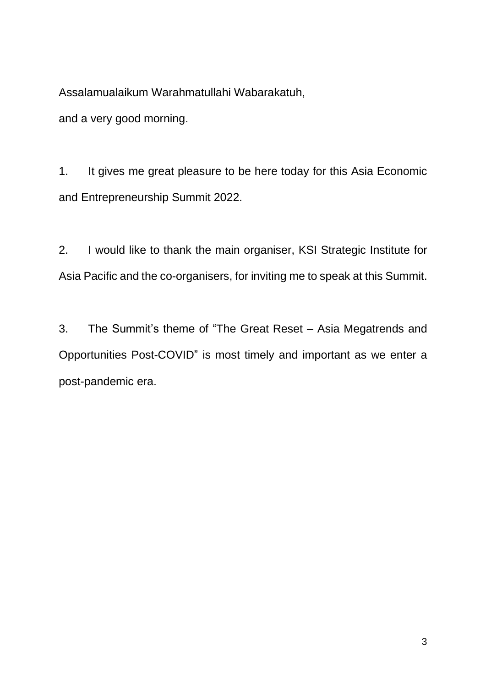Assalamualaikum Warahmatullahi Wabarakatuh,

and a very good morning.

1. It gives me great pleasure to be here today for this Asia Economic and Entrepreneurship Summit 2022.

2. I would like to thank the main organiser, KSI Strategic Institute for Asia Pacific and the co-organisers, for inviting me to speak at this Summit.

3. The Summit's theme of "The Great Reset – Asia Megatrends and Opportunities Post-COVID" is most timely and important as we enter a post-pandemic era.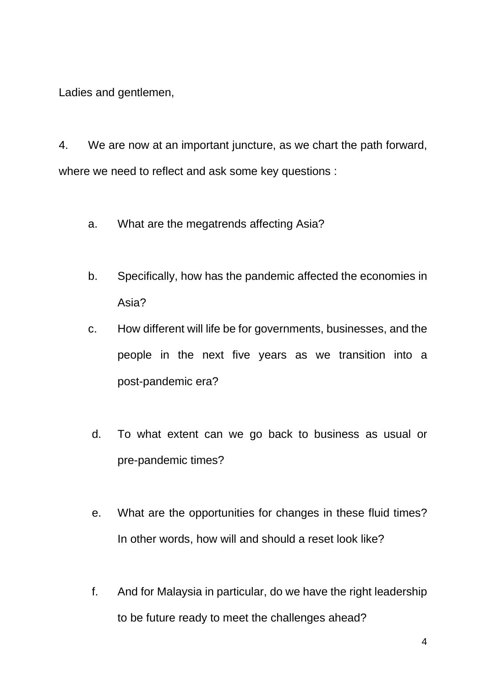Ladies and gentlemen,

4. We are now at an important juncture, as we chart the path forward, where we need to reflect and ask some key questions :

- a. What are the megatrends affecting Asia?
- b. Specifically, how has the pandemic affected the economies in Asia?
- c. How different will life be for governments, businesses, and the people in the next five years as we transition into a post-pandemic era?
- d. To what extent can we go back to business as usual or pre-pandemic times?
- e. What are the opportunities for changes in these fluid times? In other words, how will and should a reset look like?
- f. And for Malaysia in particular, do we have the right leadership to be future ready to meet the challenges ahead?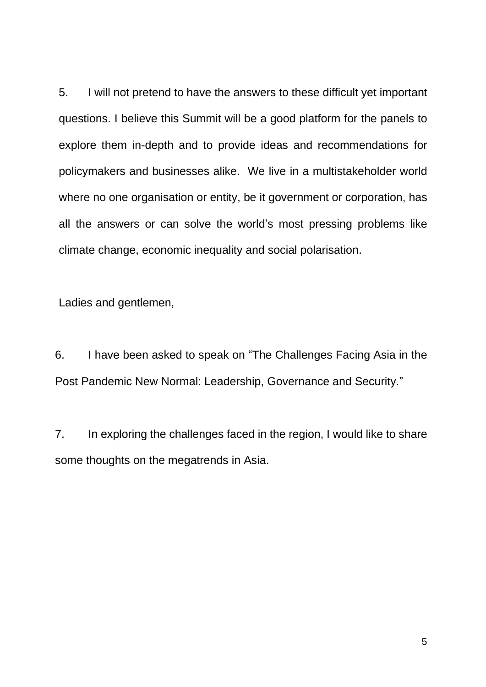5. I will not pretend to have the answers to these difficult yet important questions. I believe this Summit will be a good platform for the panels to explore them in-depth and to provide ideas and recommendations for policymakers and businesses alike. We live in a multistakeholder world where no one organisation or entity, be it government or corporation, has all the answers or can solve the world's most pressing problems like climate change, economic inequality and social polarisation.

Ladies and gentlemen,

6. I have been asked to speak on "The Challenges Facing Asia in the Post Pandemic New Normal: Leadership, Governance and Security."

7. In exploring the challenges faced in the region, I would like to share some thoughts on the megatrends in Asia.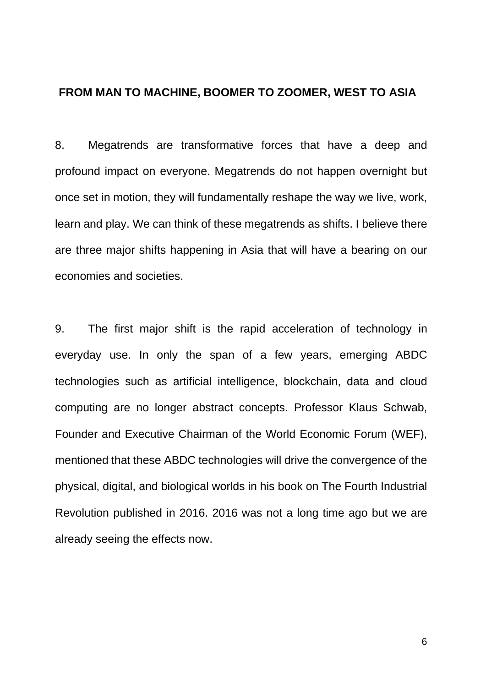#### **FROM MAN TO MACHINE, BOOMER TO ZOOMER, WEST TO ASIA**

8. Megatrends are transformative forces that have a deep and profound impact on everyone. Megatrends do not happen overnight but once set in motion, they will fundamentally reshape the way we live, work, learn and play. We can think of these megatrends as shifts. I believe there are three major shifts happening in Asia that will have a bearing on our economies and societies.

9. The first major shift is the rapid acceleration of technology in everyday use. In only the span of a few years, emerging ABDC technologies such as artificial intelligence, blockchain, data and cloud computing are no longer abstract concepts. Professor Klaus Schwab, Founder and Executive Chairman of the World Economic Forum (WEF), mentioned that these ABDC technologies will drive the convergence of the physical, digital, and biological worlds in his book on The Fourth Industrial Revolution published in 2016. 2016 was not a long time ago but we are already seeing the effects now.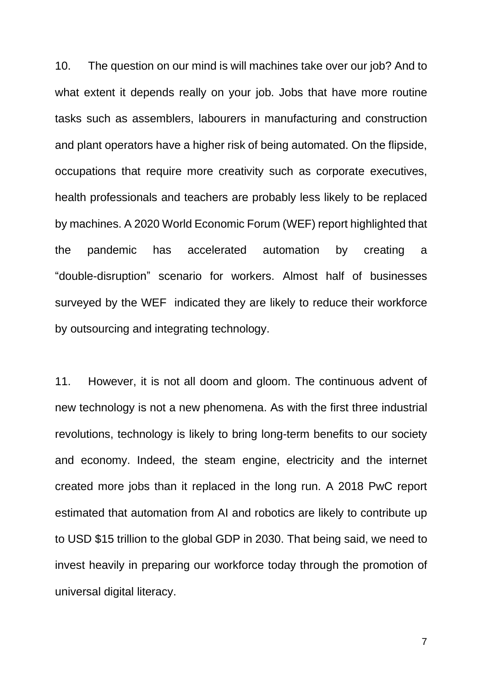10. The question on our mind is will machines take over our job? And to what extent it depends really on your job. Jobs that have more routine tasks such as assemblers, labourers in manufacturing and construction and plant operators have a higher risk of being automated. On the flipside, occupations that require more creativity such as corporate executives, health professionals and teachers are probably less likely to be replaced by machines. A 2020 World Economic Forum (WEF) report highlighted that the pandemic has accelerated automation by creating a "double-disruption" scenario for workers. Almost half of businesses surveyed by the WEF indicated they are likely to reduce their workforce by outsourcing and integrating technology.

11. However, it is not all doom and gloom. The continuous advent of new technology is not a new phenomena. As with the first three industrial revolutions, technology is likely to bring long-term benefits to our society and economy. Indeed, the steam engine, electricity and the internet created more jobs than it replaced in the long run. A 2018 PwC report estimated that automation from AI and robotics are likely to contribute up to USD \$15 trillion to the global GDP in 2030. That being said, we need to invest heavily in preparing our workforce today through the promotion of universal digital literacy.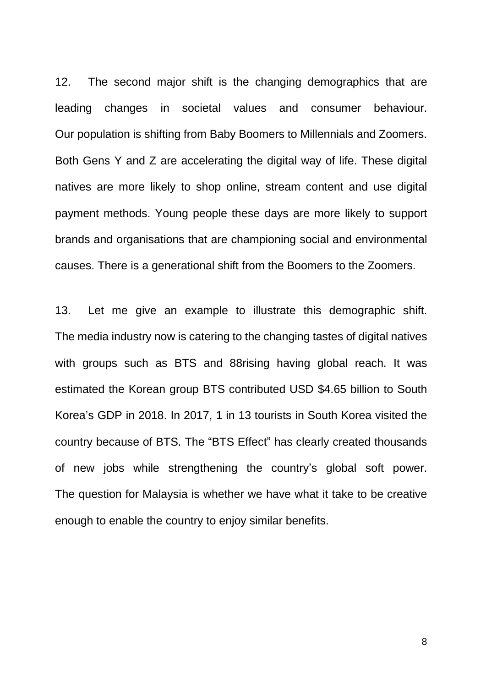12. The second major shift is the changing demographics that are leading changes in societal values and consumer behaviour. Our population is shifting from Baby Boomers to Millennials and Zoomers. Both Gens Y and Z are accelerating the digital way of life. These digital natives are more likely to shop online, stream content and use digital payment methods. Young people these days are more likely to support brands and organisations that are championing social and environmental causes. There is a generational shift from the Boomers to the Zoomers.

13. Let me give an example to illustrate this demographic shift. The media industry now is catering to the changing tastes of digital natives with groups such as BTS and 88rising having global reach. It was estimated the Korean group BTS contributed USD \$4.65 billion to South Korea's GDP in 2018. In 2017, 1 in 13 tourists in South Korea visited the country because of BTS. The "BTS Effect" has clearly created thousands of new jobs while strengthening the country's global soft power. The question for Malaysia is whether we have what it take to be creative enough to enable the country to enjoy similar benefits.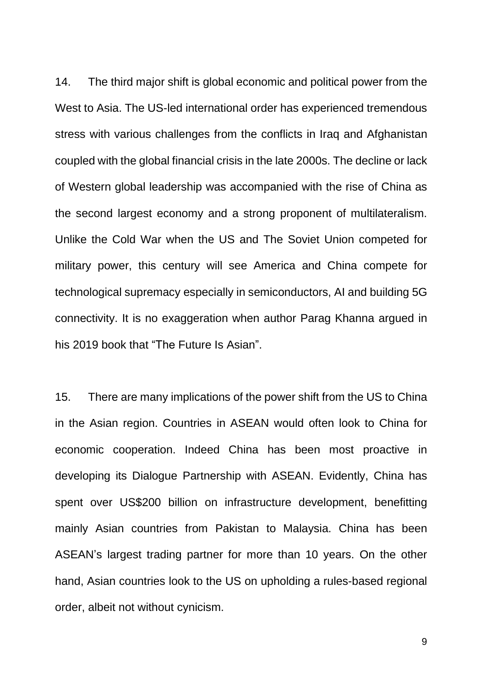14. The third major shift is global economic and political power from the West to Asia. The US-led international order has experienced tremendous stress with various challenges from the conflicts in Iraq and Afghanistan coupled with the global financial crisis in the late 2000s. The decline or lack of Western global leadership was accompanied with the rise of China as the second largest economy and a strong proponent of multilateralism. Unlike the Cold War when the US and The Soviet Union competed for military power, this century will see America and China compete for technological supremacy especially in semiconductors, AI and building 5G connectivity. It is no exaggeration when author Parag Khanna argued in his 2019 book that "The Future Is Asian".

15. There are many implications of the power shift from the US to China in the Asian region. Countries in ASEAN would often look to China for economic cooperation. Indeed China has been most proactive in developing its Dialogue Partnership with ASEAN. Evidently, China has spent over US\$200 billion on infrastructure development, benefitting mainly Asian countries from Pakistan to Malaysia. China has been ASEAN's largest trading partner for more than 10 years. On the other hand, Asian countries look to the US on upholding a rules-based regional order, albeit not without cynicism.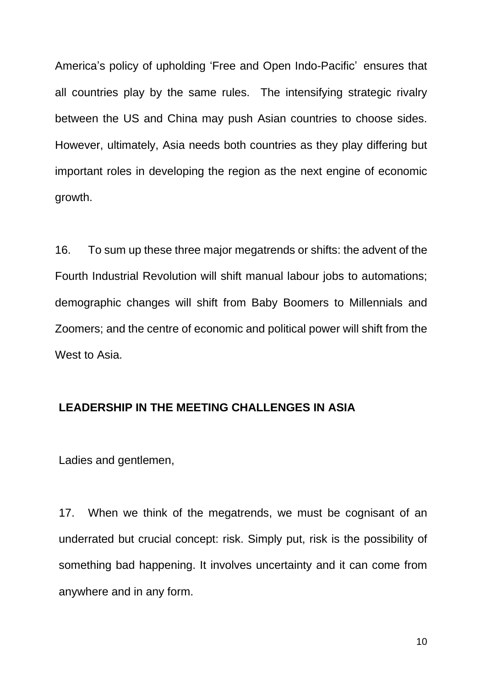America's policy of upholding 'Free and Open Indo-Pacific' ensures that all countries play by the same rules. The intensifying strategic rivalry between the US and China may push Asian countries to choose sides. However, ultimately, Asia needs both countries as they play differing but important roles in developing the region as the next engine of economic growth.

16. To sum up these three major megatrends or shifts: the advent of the Fourth Industrial Revolution will shift manual labour jobs to automations; demographic changes will shift from Baby Boomers to Millennials and Zoomers; and the centre of economic and political power will shift from the West to Asia.

#### **LEADERSHIP IN THE MEETING CHALLENGES IN ASIA**

Ladies and gentlemen,

17. When we think of the megatrends, we must be cognisant of an underrated but crucial concept: risk. Simply put, risk is the possibility of something bad happening. It involves uncertainty and it can come from anywhere and in any form.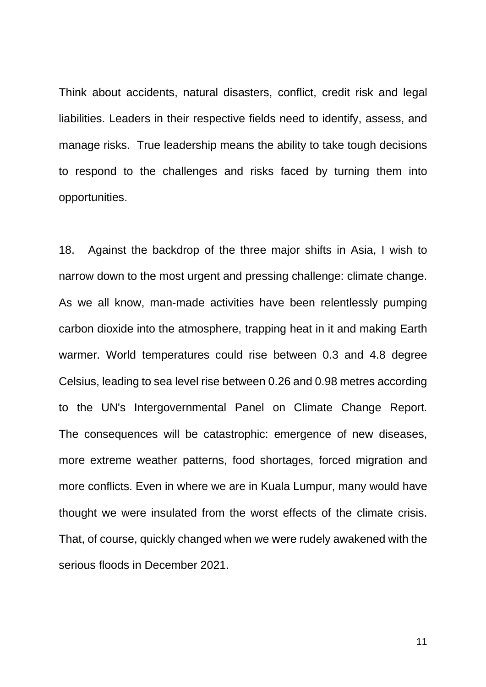Think about accidents, natural disasters, conflict, credit risk and legal liabilities. Leaders in their respective fields need to identify, assess, and manage risks. True leadership means the ability to take tough decisions to respond to the challenges and risks faced by turning them into opportunities.

18. Against the backdrop of the three major shifts in Asia, I wish to narrow down to the most urgent and pressing challenge: climate change. As we all know, man-made activities have been relentlessly pumping carbon dioxide into the atmosphere, trapping heat in it and making Earth warmer. World temperatures could rise between 0.3 and 4.8 degree Celsius, leading to sea level rise between 0.26 and 0.98 metres according to the UN's Intergovernmental Panel on Climate Change Report. The consequences will be catastrophic: emergence of new diseases, more extreme weather patterns, food shortages, forced migration and more conflicts. Even in where we are in Kuala Lumpur, many would have thought we were insulated from the worst effects of the climate crisis. That, of course, quickly changed when we were rudely awakened with the serious floods in December 2021.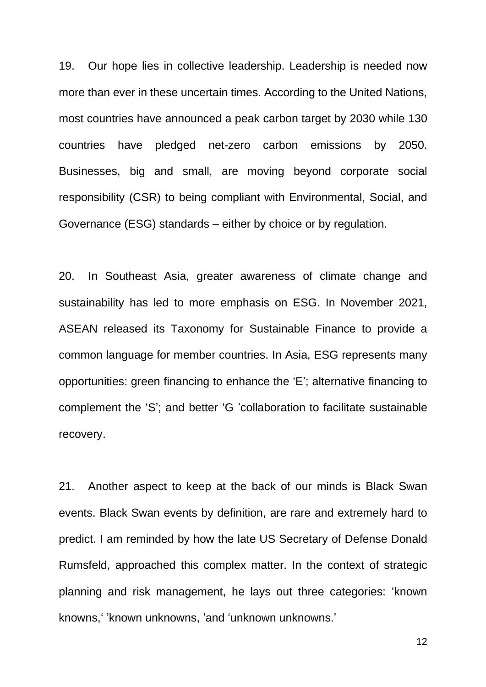19. Our hope lies in collective leadership. Leadership is needed now more than ever in these uncertain times. According to the United Nations, most countries have announced a peak carbon target by 2030 while 130 countries have pledged net-zero carbon emissions by 2050. Businesses, big and small, are moving beyond corporate social responsibility (CSR) to being compliant with Environmental, Social, and Governance (ESG) standards – either by choice or by regulation.

20. In Southeast Asia, greater awareness of climate change and sustainability has led to more emphasis on ESG. In November 2021, ASEAN released its Taxonomy for Sustainable Finance to provide a common language for member countries. In Asia, ESG represents many opportunities: green financing to enhance the 'E'; alternative financing to complement the 'S'; and better 'G 'collaboration to facilitate sustainable recovery.

21. Another aspect to keep at the back of our minds is Black Swan events. Black Swan events by definition, are rare and extremely hard to predict. I am reminded by how the late US Secretary of Defense Donald Rumsfeld, approached this complex matter. In the context of strategic planning and risk management, he lays out three categories: 'known knowns,' 'known unknowns, 'and 'unknown unknowns.'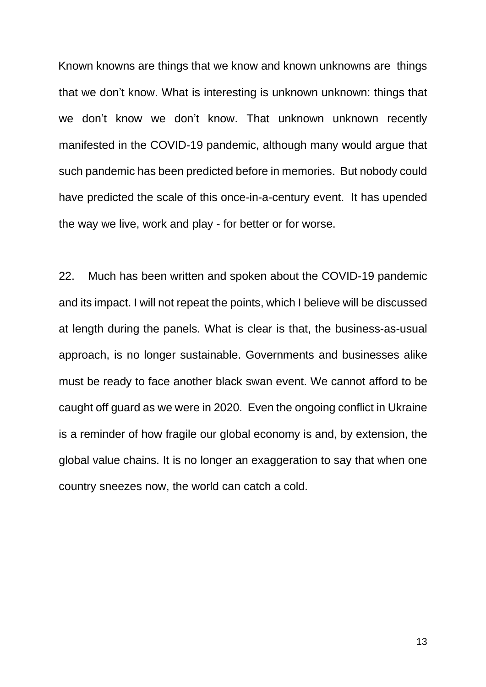Known knowns are things that we know and known unknowns are things that we don't know. What is interesting is unknown unknown: things that we don't know we don't know. That unknown unknown recently manifested in the COVID-19 pandemic, although many would argue that such pandemic has been predicted before in memories. But nobody could have predicted the scale of this once-in-a-century event. It has upended the way we live, work and play - for better or for worse.

22. Much has been written and spoken about the COVID-19 pandemic and its impact. I will not repeat the points, which I believe will be discussed at length during the panels. What is clear is that, the business-as-usual approach, is no longer sustainable. Governments and businesses alike must be ready to face another black swan event. We cannot afford to be caught off guard as we were in 2020. Even the ongoing conflict in Ukraine is a reminder of how fragile our global economy is and, by extension, the global value chains. It is no longer an exaggeration to say that when one country sneezes now, the world can catch a cold.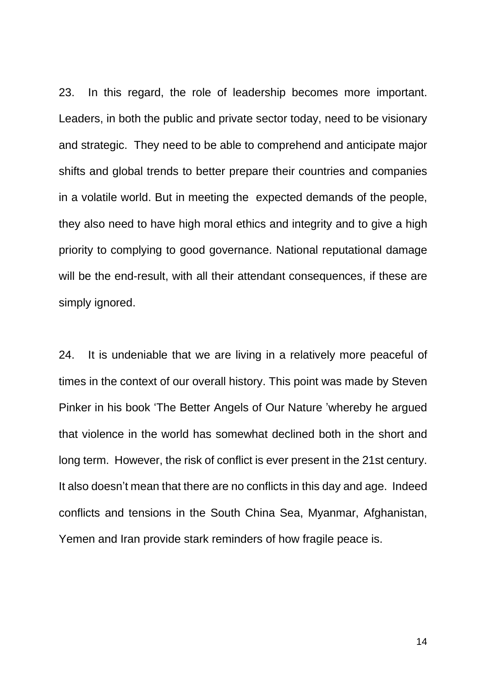23. In this regard, the role of leadership becomes more important. Leaders, in both the public and private sector today, need to be visionary and strategic. They need to be able to comprehend and anticipate major shifts and global trends to better prepare their countries and companies in a volatile world. But in meeting the expected demands of the people, they also need to have high moral ethics and integrity and to give a high priority to complying to good governance. National reputational damage will be the end-result, with all their attendant consequences, if these are simply ignored.

24. It is undeniable that we are living in a relatively more peaceful of times in the context of our overall history. This point was made by Steven Pinker in his book 'The Better Angels of Our Nature 'whereby he argued that violence in the world has somewhat declined both in the short and long term. However, the risk of conflict is ever present in the 21st century. It also doesn't mean that there are no conflicts in this day and age. Indeed conflicts and tensions in the South China Sea, Myanmar, Afghanistan, Yemen and Iran provide stark reminders of how fragile peace is.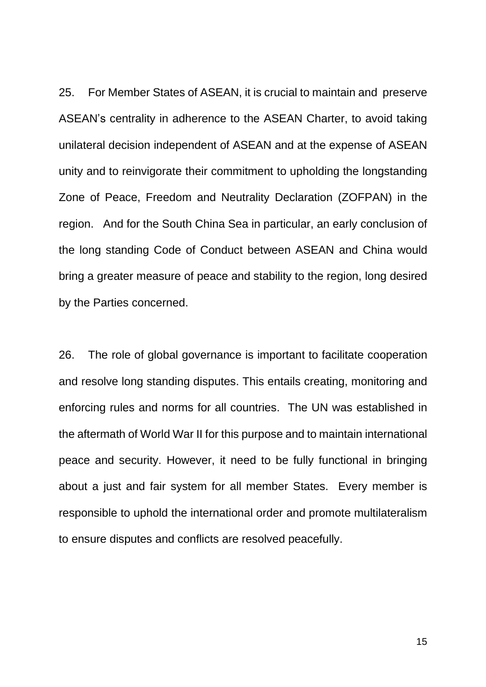25. For Member States of ASEAN, it is crucial to maintain and preserve ASEAN's centrality in adherence to the ASEAN Charter, to avoid taking unilateral decision independent of ASEAN and at the expense of ASEAN unity and to reinvigorate their commitment to upholding the longstanding Zone of Peace, Freedom and Neutrality Declaration (ZOFPAN) in the region. And for the South China Sea in particular, an early conclusion of the long standing Code of Conduct between ASEAN and China would bring a greater measure of peace and stability to the region, long desired by the Parties concerned.

26. The role of global governance is important to facilitate cooperation and resolve long standing disputes. This entails creating, monitoring and enforcing rules and norms for all countries. The UN was established in the aftermath of World War II for this purpose and to maintain international peace and security. However, it need to be fully functional in bringing about a just and fair system for all member States. Every member is responsible to uphold the international order and promote multilateralism to ensure disputes and conflicts are resolved peacefully.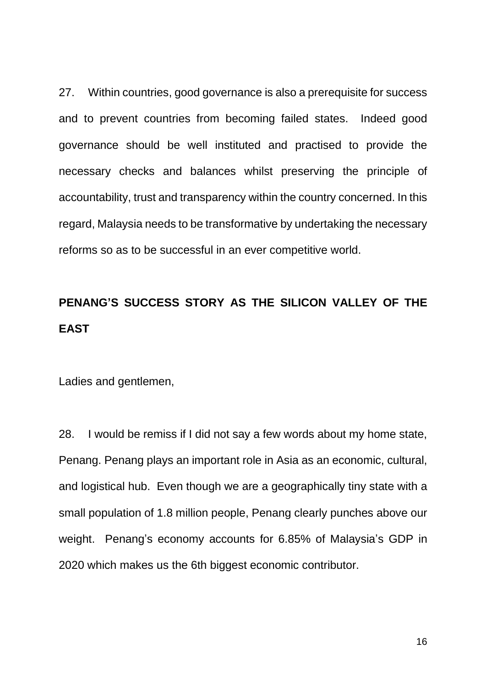27. Within countries, good governance is also a prerequisite for success and to prevent countries from becoming failed states. Indeed good governance should be well instituted and practised to provide the necessary checks and balances whilst preserving the principle of accountability, trust and transparency within the country concerned. In this regard, Malaysia needs to be transformative by undertaking the necessary reforms so as to be successful in an ever competitive world.

# **PENANG'S SUCCESS STORY AS THE SILICON VALLEY OF THE EAST**

Ladies and gentlemen,

28. I would be remiss if I did not say a few words about my home state, Penang. Penang plays an important role in Asia as an economic, cultural, and logistical hub. Even though we are a geographically tiny state with a small population of 1.8 million people, Penang clearly punches above our weight. Penang's economy accounts for 6.85% of Malaysia's GDP in 2020 which makes us the 6th biggest economic contributor.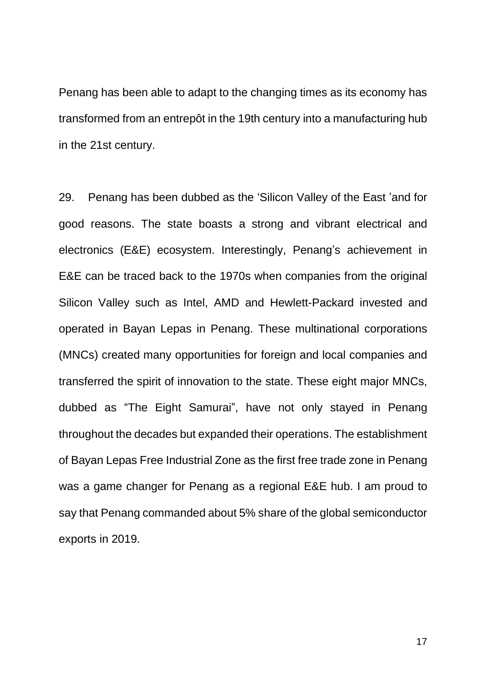Penang has been able to adapt to the changing times as its economy has transformed from an entrepôt in the 19th century into a manufacturing hub in the 21st century.

29. Penang has been dubbed as the 'Silicon Valley of the East 'and for good reasons. The state boasts a strong and vibrant electrical and electronics (E&E) ecosystem. Interestingly, Penang's achievement in E&E can be traced back to the 1970s when companies from the original Silicon Valley such as Intel, AMD and Hewlett-Packard invested and operated in Bayan Lepas in Penang. These multinational corporations (MNCs) created many opportunities for foreign and local companies and transferred the spirit of innovation to the state. These eight major MNCs, dubbed as "The Eight Samurai", have not only stayed in Penang throughout the decades but expanded their operations. The establishment of Bayan Lepas Free Industrial Zone as the first free trade zone in Penang was a game changer for Penang as a regional E&E hub. I am proud to say that Penang commanded about 5% share of the global semiconductor exports in 2019.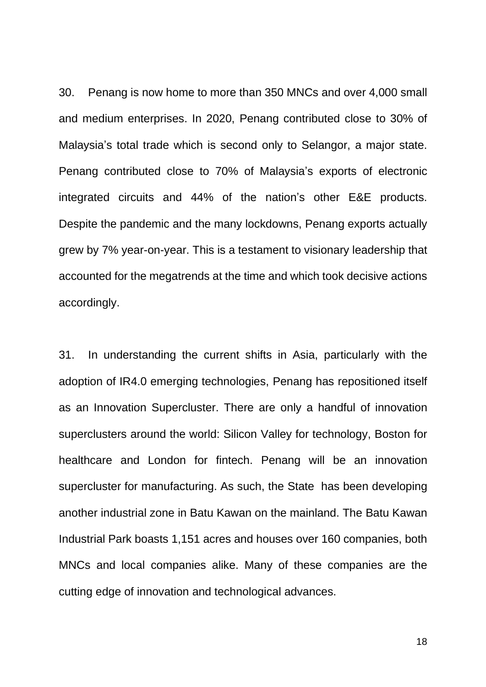30. Penang is now home to more than 350 MNCs and over 4,000 small and medium enterprises. In 2020, Penang contributed close to 30% of Malaysia's total trade which is second only to Selangor, a major state. Penang contributed close to 70% of Malaysia's exports of electronic integrated circuits and 44% of the nation's other E&E products. Despite the pandemic and the many lockdowns, Penang exports actually grew by 7% year-on-year. This is a testament to visionary leadership that accounted for the megatrends at the time and which took decisive actions accordingly.

31. In understanding the current shifts in Asia, particularly with the adoption of IR4.0 emerging technologies, Penang has repositioned itself as an Innovation Supercluster. There are only a handful of innovation superclusters around the world: Silicon Valley for technology, Boston for healthcare and London for fintech. Penang will be an innovation supercluster for manufacturing. As such, the State has been developing another industrial zone in Batu Kawan on the mainland. The Batu Kawan Industrial Park boasts 1,151 acres and houses over 160 companies, both MNCs and local companies alike. Many of these companies are the cutting edge of innovation and technological advances.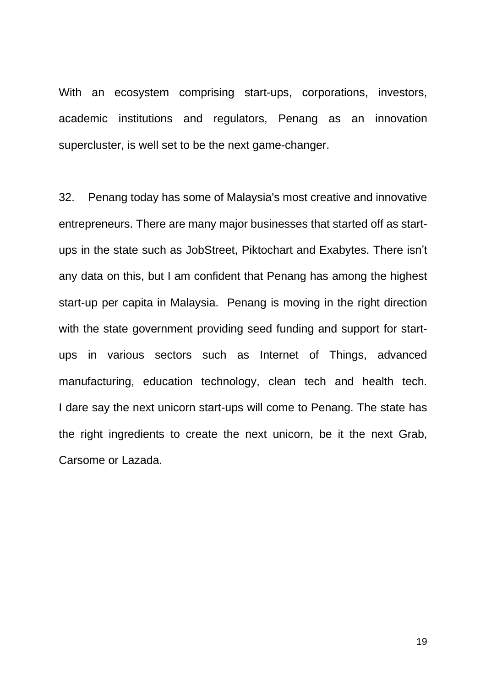With an ecosystem comprising start-ups, corporations, investors, academic institutions and regulators, Penang as an innovation supercluster, is well set to be the next game-changer.

32. Penang today has some of Malaysia's most creative and innovative entrepreneurs. There are many major businesses that started off as startups in the state such as JobStreet, Piktochart and Exabytes. There isn't any data on this, but I am confident that Penang has among the highest start-up per capita in Malaysia. Penang is moving in the right direction with the state government providing seed funding and support for startups in various sectors such as Internet of Things, advanced manufacturing, education technology, clean tech and health tech. I dare say the next unicorn start-ups will come to Penang. The state has the right ingredients to create the next unicorn, be it the next Grab, Carsome or Lazada.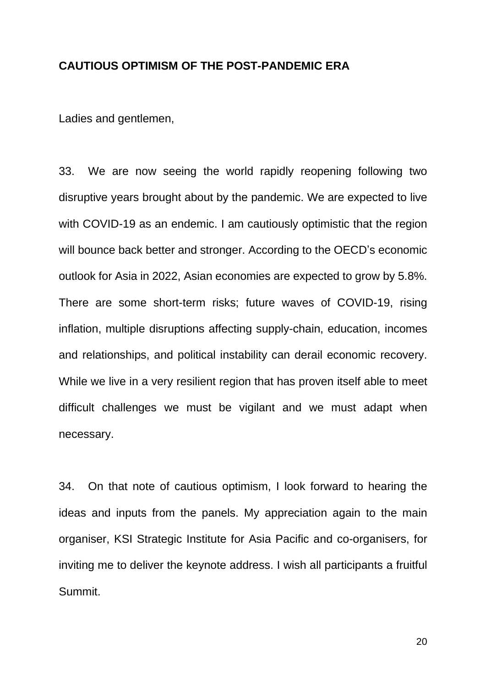#### **CAUTIOUS OPTIMISM OF THE POST-PANDEMIC ERA**

Ladies and gentlemen,

33. We are now seeing the world rapidly reopening following two disruptive years brought about by the pandemic. We are expected to live with COVID-19 as an endemic. I am cautiously optimistic that the region will bounce back better and stronger. According to the OECD's economic outlook for Asia in 2022, Asian economies are expected to grow by 5.8%. There are some short-term risks; future waves of COVID-19, rising inflation, multiple disruptions affecting supply-chain, education, incomes and relationships, and political instability can derail economic recovery. While we live in a very resilient region that has proven itself able to meet difficult challenges we must be vigilant and we must adapt when necessary.

34. On that note of cautious optimism, I look forward to hearing the ideas and inputs from the panels. My appreciation again to the main organiser, KSI Strategic Institute for Asia Pacific and co-organisers, for inviting me to deliver the keynote address. I wish all participants a fruitful Summit.